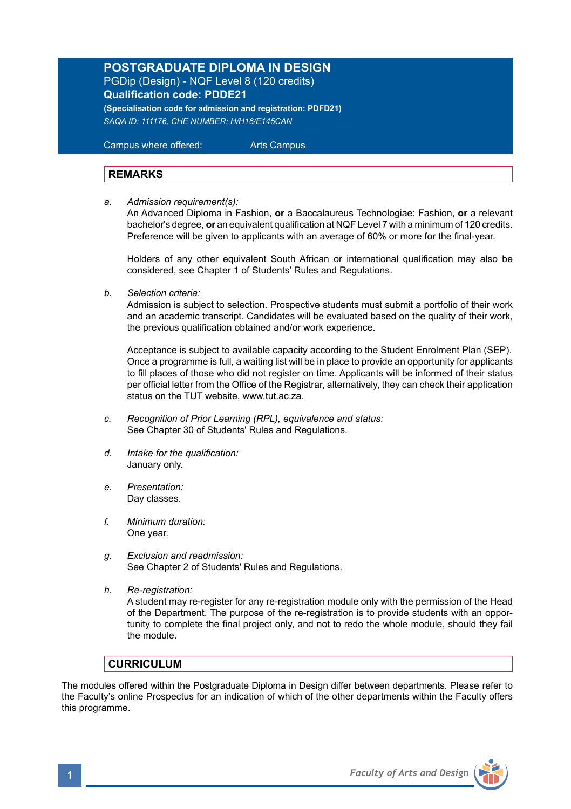# **POSTGRADUATE DIPLOMA IN DESIGN**

PGDip (Design) - NQF Level 8 (120 credits) **Qualification code: PDDE21 (Specialisation code for admission and registration: PDFD21)**

*SAQA ID: 111176, CHE NUMBER: H/H16/E145CAN* 

 Campus where offered: Arts Campus

## **REMARKS**

*a. Admission requirement(s):* 

An Advanced Diploma in Fashion, **or** a Baccalaureus Technologiae: Fashion, **or** a relevant bachelor's degree, **or** an equivalent qualification at NQF Level 7 with a minimum of 120 credits. Preference will be given to applicants with an average of 60% or more for the final-year.

Holders of any other equivalent South African or international qualification may also be considered, see Chapter 1 of Students' Rules and Regulations.

*b. Selection criteria:*

Admission is subject to selection. Prospective students must submit a portfolio of their work and an academic transcript. Candidates will be evaluated based on the quality of their work, the previous qualification obtained and/or work experience.

 Acceptance is subject to available capacity according to the Student Enrolment Plan (SEP). Once a programme is full, a waiting list will be in place to provide an opportunity for applicants to fill places of those who did not register on time. Applicants will be informed of their status per official letter from the Office of the Registrar, alternatively, they can check their application status on the TUT website, www.tut.ac.za.

- *c. Recognition of Prior Learning (RPL), equivalence and status:* See Chapter 30 of Students' Rules and Regulations.
- *d. Intake for the qualification:* January only.
- *e. Presentation:* Day classes.
- *f. Minimum duration:* One year.
- *g. Exclusion and readmission:* See Chapter 2 of Students' Rules and Regulations.
- *h. Re-registration:*

A student may re-register for any re-registration module only with the permission of the Head of the Department. The purpose of the re-registration is to provide students with an opportunity to complete the final project only, and not to redo the whole module, should they fail the module.

## **CURRICULUM**

The modules offered within the Postgraduate Diploma in Design differ between departments. Please refer to the Faculty's online Prospectus for an indication of which of the other departments within the Faculty offers this programme.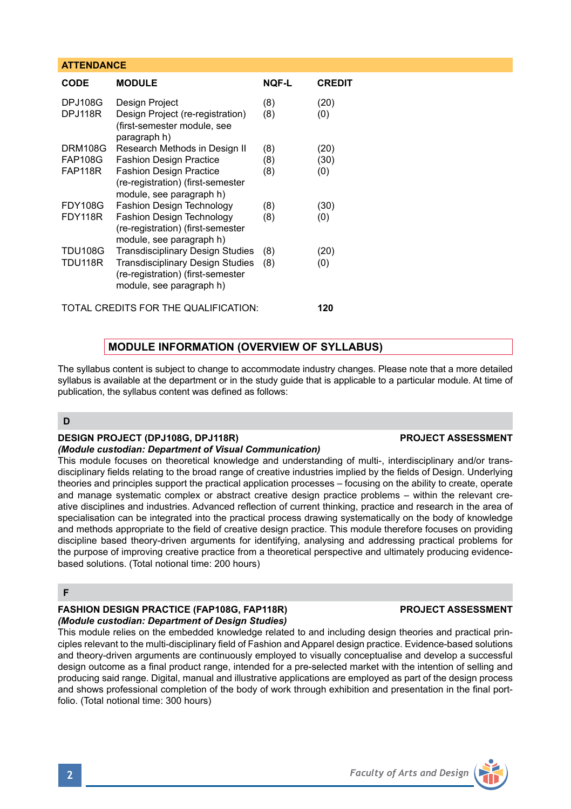### **ATTENDANCE**

| <b>MODULE</b>                                                                                                                                | <b>NOF-L</b> | <b>CREDIT</b> |
|----------------------------------------------------------------------------------------------------------------------------------------------|--------------|---------------|
| Design Project<br>Design Project (re-registration)<br>(first-semester module, see                                                            | (8)<br>(8)   | (20)<br>(0)   |
| Research Methods in Design II                                                                                                                | (8)          | (20)          |
| <b>Fashion Design Practice</b>                                                                                                               | (8)          | (30)          |
| <b>Fashion Design Practice</b><br>(re-registration) (first-semester<br>module, see paragraph h)                                              | (8)          | (0)           |
| Fashion Design Technology                                                                                                                    | (8)          | (30)          |
| Fashion Design Technology<br>(re-registration) (first-semester<br>module, see paragraph h)                                                   | (8)          | (0)           |
| <b>Transdisciplinary Design Studies</b><br>Transdisciplinary Design Studies<br>(re-registration) (first-semester<br>module, see paragraph h) | (8)<br>(8)   | (20)<br>(0)   |
|                                                                                                                                              | paragraph h) |               |

TOTAL CREDITS FOR THE QUALIFICATION: **120**

## **MODULE INFORMATION (OVERVIEW OF SYLLABUS)**

The syllabus content is subject to change to accommodate industry changes. Please note that a more detailed syllabus is available at the department or in the study guide that is applicable to a particular module. At time of publication, the syllabus content was defined as follows:

## **D**

## **DESIGN PROJECT (DPJ108G, DPJ118R) PROJECT ASSESSMENT**

#### *(Module custodian: Department of Visual Communication)*

This module focuses on theoretical knowledge and understanding of multi-, interdisciplinary and/or transdisciplinary fields relating to the broad range of creative industries implied by the fields of Design. Underlying theories and principles support the practical application processes – focusing on the ability to create, operate and manage systematic complex or abstract creative design practice problems – within the relevant creative disciplines and industries. Advanced reflection of current thinking, practice and research in the area of specialisation can be integrated into the practical process drawing systematically on the body of knowledge and methods appropriate to the field of creative design practice. This module therefore focuses on providing discipline based theory-driven arguments for identifying, analysing and addressing practical problems for the purpose of improving creative practice from a theoretical perspective and ultimately producing evidencebased solutions. (Total notional time: 200 hours)

## **F**

#### **FASHION DESIGN PRACTICE (FAP108G, FAP118R) PROJECT ASSESSMENT** *(Module custodian: Department of Design Studies)*

This module relies on the embedded knowledge related to and including design theories and practical principles relevant to the multi-disciplinary field of Fashion and Apparel design practice. Evidence-based solutions and theory-driven arguments are continuously employed to visually conceptualise and develop a successful design outcome as a final product range, intended for a pre-selected market with the intention of selling and producing said range. Digital, manual and illustrative applications are employed as part of the design process and shows professional completion of the body of work through exhibition and presentation in the final portfolio. (Total notional time: 300 hours)